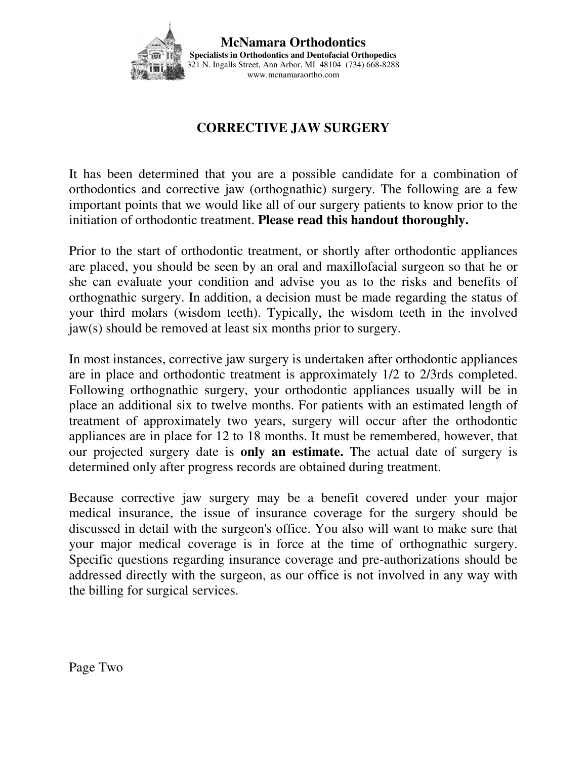

**McNamara Orthodontics Specialists in Orthodontics and Dentofacial Orthopedics**  321 N. Ingalls Street, Ann Arbor, MI 48104 (734) 668-8288 www.mcnamaraortho.com

## **CORRECTIVE JAW SURGERY**

It has been determined that you are a possible candidate for a combination of orthodontics and corrective jaw (orthognathic) surgery. The following are a few important points that we would like all of our surgery patients to know prior to the initiation of orthodontic treatment. **Please read this handout thoroughly.** 

Prior to the start of orthodontic treatment, or shortly after orthodontic appliances are placed, you should be seen by an oral and maxillofacial surgeon so that he or she can evaluate your condition and advise you as to the risks and benefits of orthognathic surgery. In addition, a decision must be made regarding the status of your third molars (wisdom teeth). Typically, the wisdom teeth in the involved jaw(s) should be removed at least six months prior to surgery.

In most instances, corrective jaw surgery is undertaken after orthodontic appliances are in place and orthodontic treatment is approximately 1/2 to 2/3rds completed. Following orthognathic surgery, your orthodontic appliances usually will be in place an additional six to twelve months. For patients with an estimated length of treatment of approximately two years, surgery will occur after the orthodontic appliances are in place for 12 to 18 months. It must be remembered, however, that our projected surgery date is **only an estimate.** The actual date of surgery is determined only after progress records are obtained during treatment.

Because corrective jaw surgery may be a benefit covered under your major medical insurance, the issue of insurance coverage for the surgery should be discussed in detail with the surgeon's office. You also will want to make sure that your major medical coverage is in force at the time of orthognathic surgery. Specific questions regarding insurance coverage and pre-authorizations should be addressed directly with the surgeon, as our office is not involved in any way with the billing for surgical services.